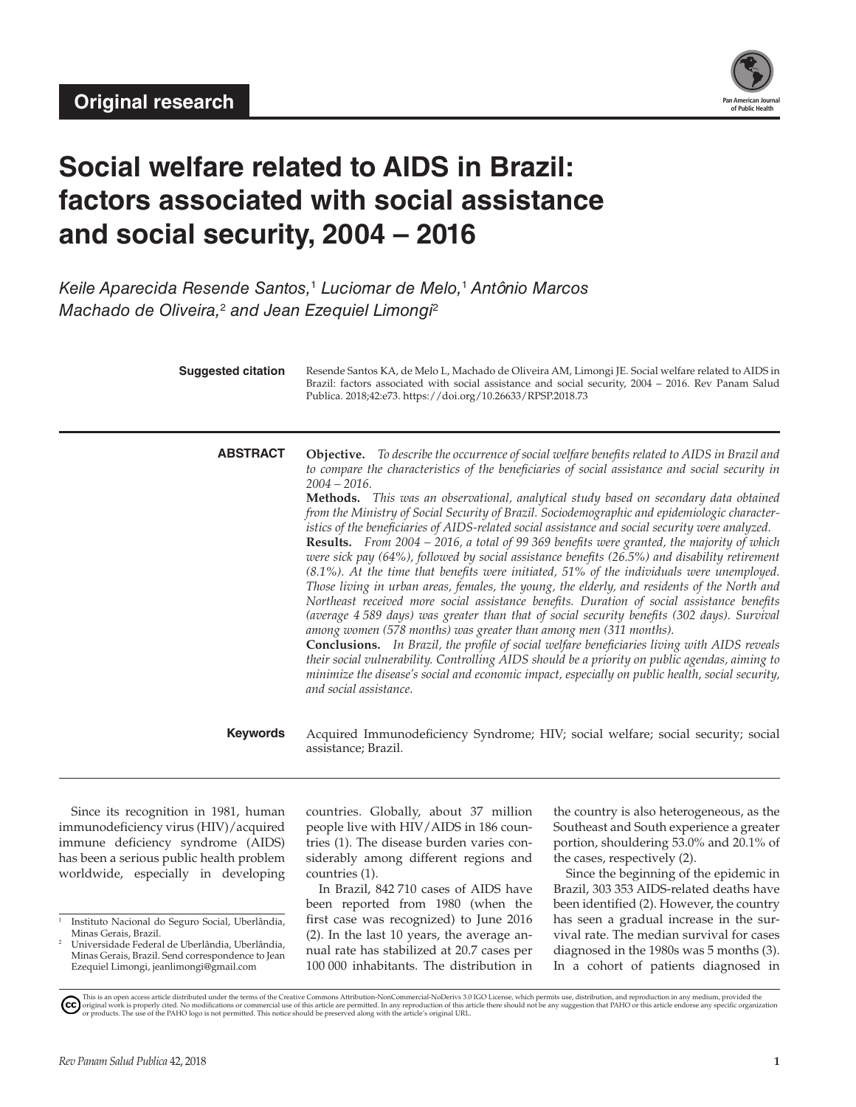

# **Social welfare related to AIDS in Brazil: factors associated with social assistance and social security, 2004 – 2016**

*Keile Aparecida Resende Santos,*<sup>1</sup> *Luciomar de Melo,*<sup>1</sup>  *Antônio Marcos Machado de Oliveira,*<sup>2</sup>  *and Jean Ezequiel Limongi*<sup>2</sup>

| <b>Suggested citation</b> | Resende Santos KA, de Melo L, Machado de Oliveira AM, Limongi JE. Social welfare related to AIDS in<br>Brazil: factors associated with social assistance and social security, 2004 - 2016. Rev Panam Salud<br>Publica. 2018;42:e73. https://doi.org/10.26633/RPSP.2018.73                                                                                                                                                                                                                                                                                                                                                                                                                                                                                                                                                                                                                                                                                                                                                                                                                                                                                                                                                                                                                                                                                                                                                                                                                                                               |
|---------------------------|-----------------------------------------------------------------------------------------------------------------------------------------------------------------------------------------------------------------------------------------------------------------------------------------------------------------------------------------------------------------------------------------------------------------------------------------------------------------------------------------------------------------------------------------------------------------------------------------------------------------------------------------------------------------------------------------------------------------------------------------------------------------------------------------------------------------------------------------------------------------------------------------------------------------------------------------------------------------------------------------------------------------------------------------------------------------------------------------------------------------------------------------------------------------------------------------------------------------------------------------------------------------------------------------------------------------------------------------------------------------------------------------------------------------------------------------------------------------------------------------------------------------------------------------|
| <b>ABSTRACT</b>           | <b>Objective.</b> To describe the occurrence of social welfare benefits related to AIDS in Brazil and<br>to compare the characteristics of the beneficiaries of social assistance and social security in<br>$2004 - 2016.$<br><b>Methods.</b> This was an observational, analytical study based on secondary data obtained<br>from the Ministry of Social Security of Brazil. Sociodemographic and epidemiologic character-<br>istics of the beneficiaries of AIDS-related social assistance and social security were analyzed.<br>Results. From 2004 - 2016, a total of 99 369 benefits were granted, the majority of which<br>were sick pay (64%), followed by social assistance benefits (26.5%) and disability retirement<br>$(8.1\%)$ . At the time that benefits were initiated, 51% of the individuals were unemployed.<br>Those living in urban areas, females, the young, the elderly, and residents of the North and<br>Northeast received more social assistance benefits. Duration of social assistance benefits<br>(average 4 589 days) was greater than that of social security benefits (302 days). Survival<br>among women (578 months) was greater than among men (311 months).<br><b>Conclusions.</b> In Brazil, the profile of social welfare beneficiaries living with AIDS reveals<br>their social vulnerability. Controlling AIDS should be a priority on public agendas, aiming to<br>minimize the disease's social and economic impact, especially on public health, social security,<br>and social assistance. |
| <b>Keywords</b>           | Acquired Immunodeficiency Syndrome; HIV; social welfare; social security; social<br>assistance; Brazil.                                                                                                                                                                                                                                                                                                                                                                                                                                                                                                                                                                                                                                                                                                                                                                                                                                                                                                                                                                                                                                                                                                                                                                                                                                                                                                                                                                                                                                 |

Since its recognition in 1981, human immunodeficiency virus (HIV)/acquired immune deficiency syndrome (AIDS) has been a serious public health problem worldwide, especially in developing

countries. Globally, about 37 million people live with HIV/AIDS in 186 countries (1). The disease burden varies considerably among different regions and countries (1).

In Brazil, 842 710 cases of AIDS have been reported from 1980 (when the first case was recognized) to June 2016 (2). In the last 10 years, the average annual rate has stabilized at 20.7 cases per 100 000 inhabitants. The distribution in the country is also heterogeneous, as the Southeast and South experience a greater portion, shouldering 53.0% and 20.1% of the cases, respectively (2).

Since the beginning of the epidemic in Brazil, 303 353 AIDS-related deaths have been identified (2). However, the country has seen a gradual increase in the survival rate. The median survival for cases diagnosed in the 1980s was 5 months (3). In a cohort of patients diagnosed in

<sup>1</sup> Instituto Nacional do Seguro Social, Uberlândia, Minas Gerais, Brazil.

<sup>2</sup> Universidade Federal de Uberlândia, Uberlândia, Minas Gerais, Brazil. Send correspondence to Jean Ezequiel Limongi, [jeanlimongi@gmail.com](mailto:jeanlimongi@gmail.com)

This is an open access article distributed under the terms of the [Creative Commons Attribution-NonCommercial-NoDerivs 3.0 IGO License](https://creativecommons.org/licenses/by-nc-nd/3.0/igo/legalcode), which permits use, distribution, and reproduction in any medium, provided the<br>orignal w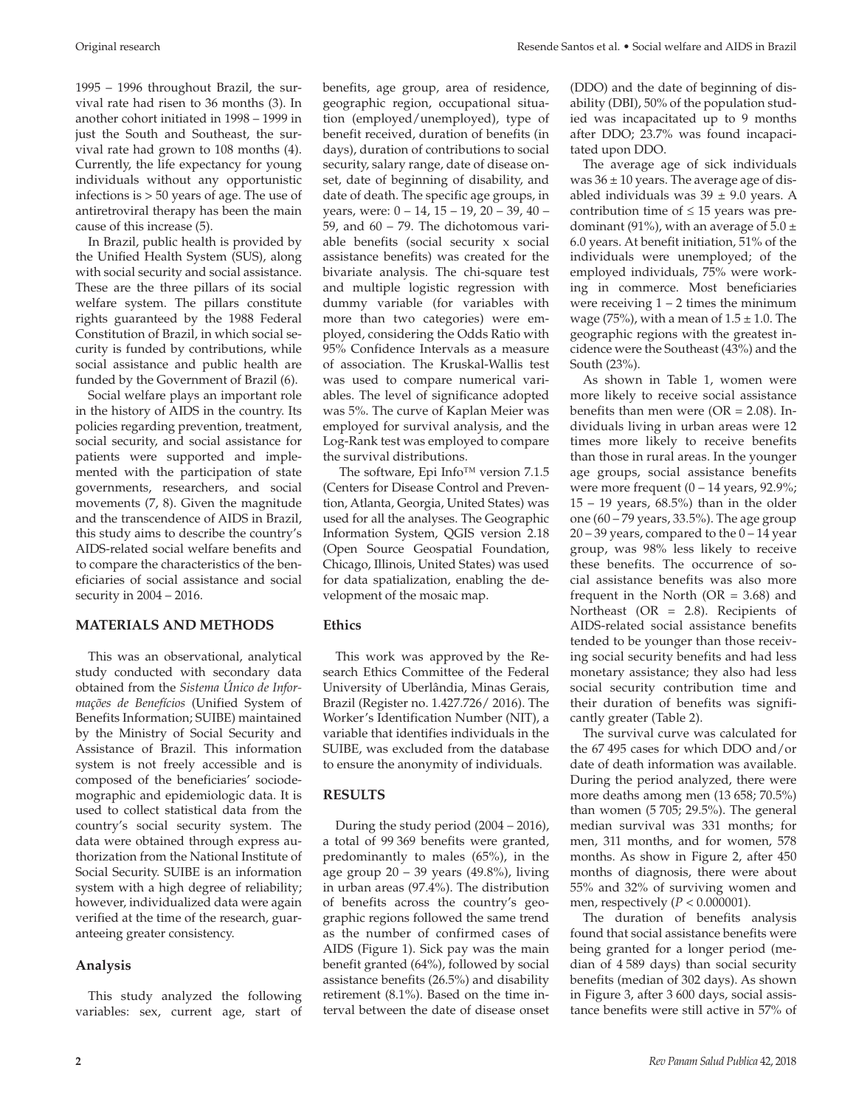1995 – 1996 throughout Brazil, the survival rate had risen to 36 months (3). In another cohort initiated in 1998 – 1999 in just the South and Southeast, the survival rate had grown to 108 months (4). Currently, the life expectancy for young individuals without any opportunistic infections is > 50 years of age. The use of antiretroviral therapy has been the main cause of this increase (5).

In Brazil, public health is provided by the Unified Health System (SUS), along with social security and social assistance. These are the three pillars of its social welfare system. The pillars constitute rights guaranteed by the 1988 Federal Constitution of Brazil, in which social security is funded by contributions, while social assistance and public health are funded by the Government of Brazil (6).

Social welfare plays an important role in the history of AIDS in the country. Its policies regarding prevention, treatment, social security, and social assistance for patients were supported and implemented with the participation of state governments, researchers, and social movements (7, 8). Given the magnitude and the transcendence of AIDS in Brazil, this study aims to describe the country's AIDS-related social welfare benefits and to compare the characteristics of the beneficiaries of social assistance and social security in 2004 – 2016.

# **MATERIALS AND METHODS**

This was an observational, analytical study conducted with secondary data obtained from the *Sistema Único de Informações de Benefícios* (Unified System of Benefits Information; SUIBE) maintained by the Ministry of Social Security and Assistance of Brazil. This information system is not freely accessible and is composed of the beneficiaries' sociodemographic and epidemiologic data. It is used to collect statistical data from the country's social security system. The data were obtained through express authorization from the National Institute of Social Security. SUIBE is an information system with a high degree of reliability; however, individualized data were again verified at the time of the research, guaranteeing greater consistency.

# **Analysis**

This study analyzed the following variables: sex, current age, start of benefits, age group, area of residence, geographic region, occupational situation (employed/unemployed), type of benefit received, duration of benefits (in days), duration of contributions to social security, salary range, date of disease onset, date of beginning of disability, and date of death. The specific age groups, in years, were:  $0 - 14$ ,  $15 - 19$ ,  $20 - 39$ ,  $40 -$ 59, and 60 – 79. The dichotomous variable benefits (social security x social assistance benefits) was created for the bivariate analysis. The chi-square test and multiple logistic regression with dummy variable (for variables with more than two categories) were employed, considering the Odds Ratio with 95% Confidence Intervals as a measure of association. The Kruskal-Wallis test was used to compare numerical variables. The level of significance adopted was 5%. The curve of Kaplan Meier was employed for survival analysis, and the Log-Rank test was employed to compare the survival distributions.

 The software, Epi Info™ version 7.1.5 (Centers for Disease Control and Prevention, Atlanta, Georgia, United States) was used for all the analyses. The Geographic Information System, QGIS version 2.18 (Open Source Geospatial Foundation, Chicago, Illinois, United States) was used for data spatialization, enabling the development of the mosaic map.

# **Ethics**

This work was approved by the Research Ethics Committee of the Federal University of Uberlândia, Minas Gerais, Brazil (Register no. 1.427.726/ 2016). The Worker's Identification Number (NIT), a variable that identifies individuals in the SUIBE, was excluded from the database to ensure the anonymity of individuals.

# **RESULTS**

During the study period (2004 – 2016), a total of 99 369 benefits were granted, predominantly to males (65%), in the age group 20 – 39 years (49.8%), living in urban areas (97.4%). The distribution of benefits across the country's geographic regions followed the same trend as the number of confirmed cases of AIDS (Figure 1). Sick pay was the main benefit granted (64%), followed by social assistance benefits (26.5%) and disability retirement (8.1%). Based on the time interval between the date of disease onset

(DDO) and the date of beginning of disability (DBI), 50% of the population studied was incapacitated up to 9 months after DDO; 23.7% was found incapacitated upon DDO.

The average age of sick individuals was  $36 \pm 10$  years. The average age of disabled individuals was  $39 \pm 9.0$  years. A contribution time of  $\leq 15$  years was predominant (91%), with an average of  $5.0 \pm$ 6.0 years. At benefit initiation, 51% of the individuals were unemployed; of the employed individuals, 75% were working in commerce. Most beneficiaries were receiving  $1 - 2$  times the minimum wage (75%), with a mean of  $1.5 \pm 1.0$ . The geographic regions with the greatest incidence were the Southeast (43%) and the South (23%).

As shown in Table 1, women were more likely to receive social assistance benefits than men were  $(OR = 2.08)$ . Individuals living in urban areas were 12 times more likely to receive benefits than those in rural areas. In the younger age groups, social assistance benefits were more frequent  $(0 - 14$  years, 92.9%;  $15 - 19$  years,  $68.5\%$ ) than in the older one  $(60 - 79$  years, 33.5%). The age group  $20 - 39$  years, compared to the  $0 - 14$  year group, was 98% less likely to receive these benefits. The occurrence of social assistance benefits was also more frequent in the North ( $OR = 3.68$ ) and Northeast (OR = 2.8). Recipients of AIDS-related social assistance benefits tended to be younger than those receiving social security benefits and had less monetary assistance; they also had less social security contribution time and their duration of benefits was significantly greater (Table 2).

The survival curve was calculated for the 67 495 cases for which DDO and/or date of death information was available. During the period analyzed, there were more deaths among men (13 658; 70.5%) than women (5 705; 29.5%). The general median survival was 331 months; for men, 311 months, and for women, 578 months. As show in Figure 2, after 450 months of diagnosis, there were about 55% and 32% of surviving women and men, respectively (*P* < 0.000001).

The duration of benefits analysis found that social assistance benefits were being granted for a longer period (median of 4 589 days) than social security benefits (median of 302 days). As shown in Figure 3, after 3 600 days, social assistance benefits were still active in 57% of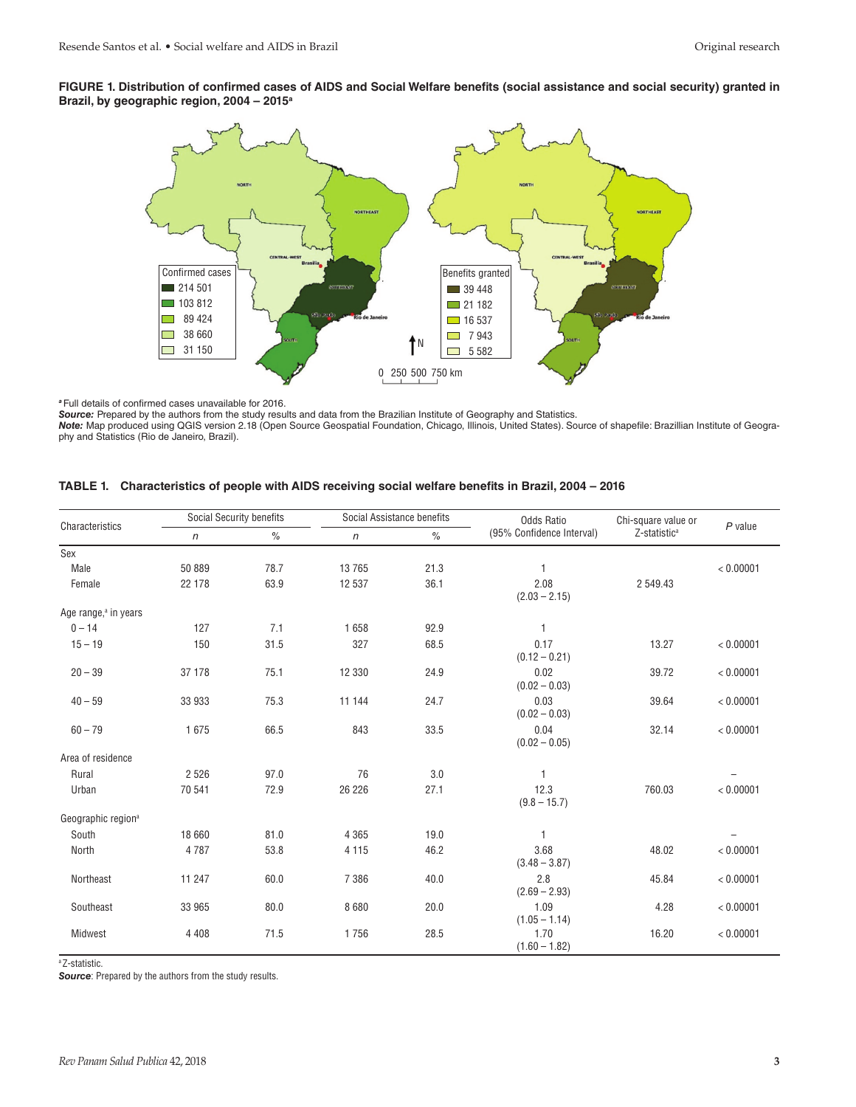#### **FIGURE 1. Distribution of confirmed cases of AIDS and Social Welfare benefits (social assistance and social security) granted in Brazil, by geographic region, 2004 – 2015a**



*<sup>a</sup>*Full details of confirmed cases unavailable for 2016.

*Source:* Prepared by the authors from the study results and data from the Brazilian Institute of Geography and Statistics.

*Note:* Map produced using QGIS version 2.18 (Open Source Geospatial Foundation, Chicago, Illinois, United States). Source of shapefile: Brazillian Institute of Geography and Statistics (Rio de Janeiro, Brazil).

|  | TABLE 1. Characteristics of people with AIDS receiving social welfare benefits in Brazil, 2004 - 2016 |  |  |  |  |  |
|--|-------------------------------------------------------------------------------------------------------|--|--|--|--|--|
|--|-------------------------------------------------------------------------------------------------------|--|--|--|--|--|

|                                  | <b>Social Security benefits</b> |      | Social Assistance benefits |      | <b>Odds Ratio</b>         | Chi-square value or      |           |
|----------------------------------|---------------------------------|------|----------------------------|------|---------------------------|--------------------------|-----------|
| Characteristics                  | $\mathsf{n}$                    | $\%$ | $\mathsf{n}$               | $\%$ | (95% Confidence Interval) | Z-statistic <sup>a</sup> | $P$ value |
| Sex                              |                                 |      |                            |      |                           |                          |           |
| Male                             | 50 889                          | 78.7 | 13 7 65                    | 21.3 |                           |                          | < 0.00001 |
| Female                           | 22 178                          | 63.9 | 12 537                     | 36.1 | 2.08<br>$(2.03 - 2.15)$   | 2 549.43                 |           |
| Age range, <sup>a</sup> in years |                                 |      |                            |      |                           |                          |           |
| $0 - 14$                         | 127                             | 7.1  | 1658                       | 92.9 | 1                         |                          |           |
| $15 - 19$                        | 150                             | 31.5 | 327                        | 68.5 | 0.17<br>$(0.12 - 0.21)$   | 13.27                    | < 0.00001 |
| $20 - 39$                        | 37 178                          | 75.1 | 12 330                     | 24.9 | 0.02<br>$(0.02 - 0.03)$   | 39.72                    | < 0.00001 |
| $40 - 59$                        | 33 933                          | 75.3 | 11 144                     | 24.7 | 0.03<br>$(0.02 - 0.03)$   | 39.64                    | < 0.00001 |
| $60 - 79$                        | 1675                            | 66.5 | 843                        | 33.5 | 0.04<br>$(0.02 - 0.05)$   | 32.14                    | < 0.00001 |
| Area of residence                |                                 |      |                            |      |                           |                          |           |
| Rural                            | 2 5 2 6                         | 97.0 | 76                         | 3.0  | $\mathbf{1}$              |                          |           |
| Urban                            | 70 541                          | 72.9 | 26 226                     | 27.1 | 12.3<br>$(9.8 - 15.7)$    | 760.03                   | < 0.00001 |
| Geographic region <sup>a</sup>   |                                 |      |                            |      |                           |                          |           |
| South                            | 18 660                          | 81.0 | 4 3 6 5                    | 19.0 |                           |                          |           |
| North                            | 4787                            | 53.8 | 4 1 1 5                    | 46.2 | 3.68<br>$(3.48 - 3.87)$   | 48.02                    | < 0.00001 |
| Northeast                        | 11 247                          | 60.0 | 7 3 8 6                    | 40.0 | 2.8<br>$(2.69 - 2.93)$    | 45.84                    | < 0.00001 |
| Southeast                        | 33 965                          | 80.0 | 8680                       | 20.0 | 1.09<br>$(1.05 - 1.14)$   | 4.28                     | < 0.00001 |
| Midwest                          | 4 4 0 8                         | 71.5 | 1756                       | 28.5 | 1.70<br>$(1.60 - 1.82)$   | 16.20                    | < 0.00001 |

<sup>a</sup>Z-statistic.

**Source:** Prepared by the authors from the study results.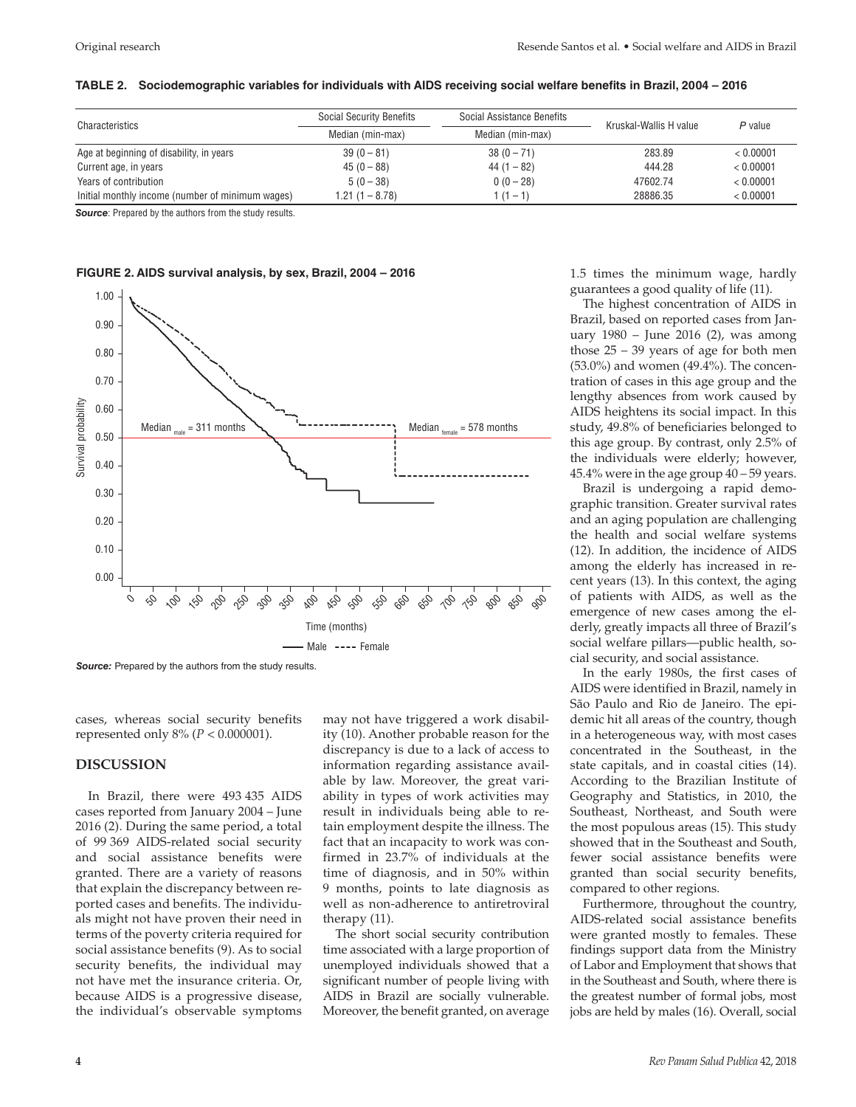| Characteristics                                  | <b>Social Security Benefits</b> | Social Assistance Benefits | Kruskal-Wallis H value | $P$ value |
|--------------------------------------------------|---------------------------------|----------------------------|------------------------|-----------|
|                                                  | Median (min-max)                | Median (min-max)           |                        |           |
| Age at beginning of disability, in years         | $39(0-81)$                      | $38(0 - 71)$               | 283.89                 | < 0.00001 |
| Current age, in years                            | $45(0 - 88)$                    | $44(1 - 82)$               | 444.28                 | < 0.00001 |
| Years of contribution                            | $5(0-38)$                       | $0(0-28)$                  | 47602.74               | < 0.00001 |
| Initial monthly income (number of minimum wages) | $1.21(1 - 8.78)$                | $1(1 - 1)$                 | 28886.35               | < 0.00001 |

#### **TABLE 2. Sociodemographic variables for individuals with AIDS receiving social welfare benefits in Brazil, 2004 – 2016**

**Source:** Prepared by the authors from the study results.

#### **FIGURE 2. AIDS survival analysis, by sex, Brazil, 2004 – 2016**



*Source:* Prepared by the authors from the study results.

cases, whereas social security benefits represented only 8% (*P* < 0.000001).

# **DISCUSSION**

In Brazil, there were 493 435 AIDS cases reported from January 2004 – June 2016 (2). During the same period, a total of 99 369 AIDS-related social security and social assistance benefits were granted. There are a variety of reasons that explain the discrepancy between reported cases and benefits. The individuals might not have proven their need in terms of the poverty criteria required for social assistance benefits (9). As to social security benefits, the individual may not have met the insurance criteria. Or, because AIDS is a progressive disease, the individual's observable symptoms

may not have triggered a work disability (10). Another probable reason for the discrepancy is due to a lack of access to information regarding assistance available by law. Moreover, the great variability in types of work activities may result in individuals being able to retain employment despite the illness. The fact that an incapacity to work was confirmed in 23.7% of individuals at the time of diagnosis, and in 50% within 9 months, points to late diagnosis as well as non-adherence to antiretroviral therapy (11).

The short social security contribution time associated with a large proportion of unemployed individuals showed that a significant number of people living with AIDS in Brazil are socially vulnerable. Moreover, the benefit granted, on average 1.5 times the minimum wage, hardly guarantees a good quality of life (11).

The highest concentration of AIDS in Brazil, based on reported cases from January 1980 – June 2016 (2), was among those 25 – 39 years of age for both men (53.0%) and women (49.4%). The concentration of cases in this age group and the lengthy absences from work caused by AIDS heightens its social impact. In this study, 49.8% of beneficiaries belonged to this age group. By contrast, only 2.5% of the individuals were elderly; however, 45.4% were in the age group 40 – 59 years.

Brazil is undergoing a rapid demographic transition. Greater survival rates and an aging population are challenging the health and social welfare systems (12). In addition, the incidence of AIDS among the elderly has increased in recent years (13). In this context, the aging of patients with AIDS, as well as the emergence of new cases among the elderly, greatly impacts all three of Brazil's social welfare pillars—public health, social security, and social assistance.

In the early 1980s, the first cases of AIDS were identified in Brazil, namely in São Paulo and Rio de Janeiro. The epidemic hit all areas of the country, though in a heterogeneous way, with most cases concentrated in the Southeast, in the state capitals, and in coastal cities (14). According to the Brazilian Institute of Geography and Statistics, in 2010, the Southeast, Northeast, and South were the most populous areas (15). This study showed that in the Southeast and South, fewer social assistance benefits were granted than social security benefits, compared to other regions.

Furthermore, throughout the country, AIDS-related social assistance benefits were granted mostly to females. These findings support data from the Ministry of Labor and Employment that shows that in the Southeast and South, where there is the greatest number of formal jobs, most jobs are held by males (16). Overall, social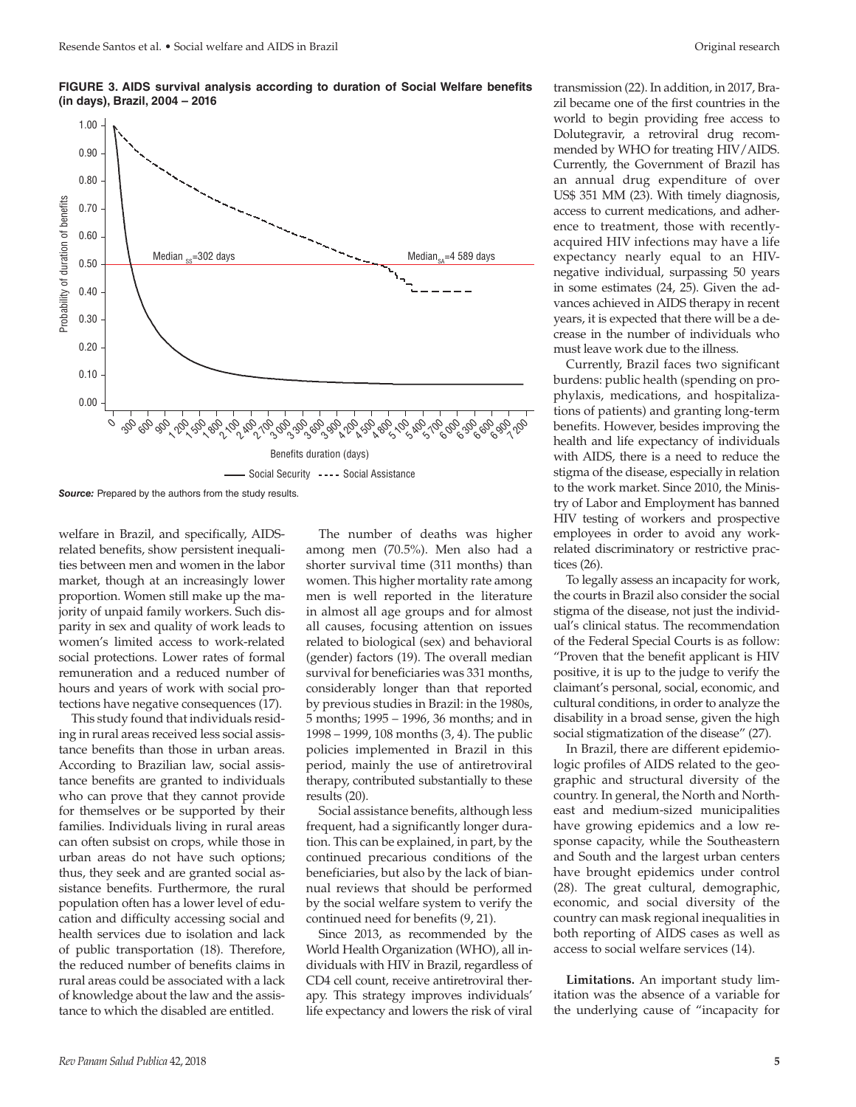**FIGURE 3. AIDS survival analysis according to duration of Social Welfare benefits (in days), Brazil, 2004 – 2016**



welfare in Brazil, and specifically, AIDSrelated benefits, show persistent inequalities between men and women in the labor market, though at an increasingly lower proportion. Women still make up the majority of unpaid family workers. Such disparity in sex and quality of work leads to women's limited access to work-related social protections. Lower rates of formal remuneration and a reduced number of hours and years of work with social protections have negative consequences (17).

This study found that individuals residing in rural areas received less social assistance benefits than those in urban areas. According to Brazilian law, social assistance benefits are granted to individuals who can prove that they cannot provide for themselves or be supported by their families. Individuals living in rural areas can often subsist on crops, while those in urban areas do not have such options; thus, they seek and are granted social assistance benefits. Furthermore, the rural population often has a lower level of education and difficulty accessing social and health services due to isolation and lack of public transportation (18). Therefore, the reduced number of benefits claims in rural areas could be associated with a lack of knowledge about the law and the assistance to which the disabled are entitled.

The number of deaths was higher among men (70.5%). Men also had a shorter survival time (311 months) than women. This higher mortality rate among men is well reported in the literature in almost all age groups and for almost all causes, focusing attention on issues related to biological (sex) and behavioral (gender) factors (19). The overall median survival for beneficiaries was 331 months, considerably longer than that reported by previous studies in Brazil: in the 1980s, 5 months; 1995 – 1996, 36 months; and in 1998 – 1999, 108 months (3, 4). The public policies implemented in Brazil in this period, mainly the use of antiretroviral therapy, contributed substantially to these results (20).

Social assistance benefits, although less frequent, had a significantly longer duration. This can be explained, in part, by the continued precarious conditions of the beneficiaries, but also by the lack of biannual reviews that should be performed by the social welfare system to verify the continued need for benefits (9, 21).

Since 2013, as recommended by the World Health Organization (WHO), all individuals with HIV in Brazil, regardless of CD4 cell count, receive antiretroviral therapy. This strategy improves individuals' life expectancy and lowers the risk of viral

transmission (22). In addition, in 2017, Brazil became one of the first countries in the world to begin providing free access to Dolutegravir, a retroviral drug recommended by WHO for treating HIV/AIDS. Currently, the Government of Brazil has an annual drug expenditure of over US\$ 351 MM (23). With timely diagnosis, access to current medications, and adherence to treatment, those with recentlyacquired HIV infections may have a life expectancy nearly equal to an HIVnegative individual, surpassing 50 years in some estimates (24, 25). Given the advances achieved in AIDS therapy in recent years, it is expected that there will be a decrease in the number of individuals who must leave work due to the illness.

Currently, Brazil faces two significant burdens: public health (spending on prophylaxis, medications, and hospitalizations of patients) and granting long-term benefits. However, besides improving the health and life expectancy of individuals with AIDS, there is a need to reduce the stigma of the disease, especially in relation to the work market. Since 2010, the Ministry of Labor and Employment has banned HIV testing of workers and prospective employees in order to avoid any workrelated discriminatory or restrictive practices (26).

To legally assess an incapacity for work, the courts in Brazil also consider the social stigma of the disease, not just the individual's clinical status. The recommendation of the Federal Special Courts is as follow: "Proven that the benefit applicant is HIV positive, it is up to the judge to verify the claimant's personal, social, economic, and cultural conditions, in order to analyze the disability in a broad sense, given the high social stigmatization of the disease" (27).

In Brazil, there are different epidemiologic profiles of AIDS related to the geographic and structural diversity of the country. In general, the North and Northeast and medium-sized municipalities have growing epidemics and a low response capacity, while the Southeastern and South and the largest urban centers have brought epidemics under control (28). The great cultural, demographic, economic, and social diversity of the country can mask regional inequalities in both reporting of AIDS cases as well as access to social welfare services (14).

**Limitations.** An important study limitation was the absence of a variable for the underlying cause of "incapacity for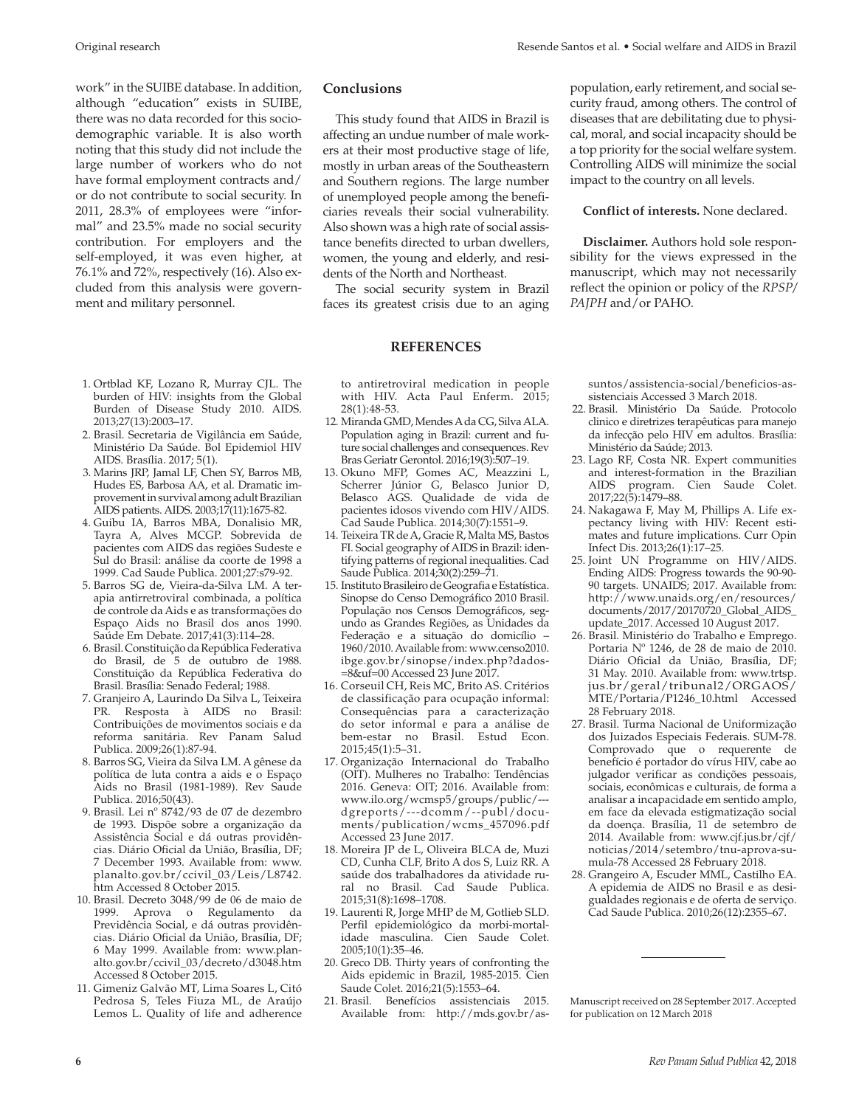work" in the SUIBE database. In addition, although "education" exists in SUIBE, there was no data recorded for this sociodemographic variable. It is also worth noting that this study did not include the large number of workers who do not have formal employment contracts and/ or do not contribute to social security. In 2011, 28.3% of employees were "informal" and 23.5% made no social security contribution. For employers and the self-employed, it was even higher, at 76.1% and 72%, respectively (16). Also excluded from this analysis were government and military personnel.

- 1. Ortblad KF, Lozano R, Murray CJL. The burden of HIV: insights from the Global Burden of Disease Study 2010. AIDS. 2013;27(13):2003–17.
- 2. Brasil. Secretaria de Vigilância em Saúde, Ministério Da Saúde. Bol Epidemiol HIV AIDS. Brasília. 2017; 5(1).
- 3. Marins JRP, Jamal LF, Chen SY, Barros MB, Hudes ES, Barbosa AA, et al. Dramatic improvement in survival among adult Brazilian AIDS patients. AIDS. 2003;17(11):1675-82.
- 4. Guibu IA, Barros MBA, Donalisio MR, Tayra A, Alves MCGP. Sobrevida de pacientes com AIDS das regiões Sudeste e Sul do Brasil: análise da coorte de 1998 a 1999. Cad Saude Publica. 2001;27:s79-92.
- 5. Barros SG de, Vieira-da-Silva LM. A terapia antirretroviral combinada, a política de controle da Aids e as transformações do Espaço Aids no Brasil dos anos 1990. Saúde Em Debate. 2017;41(3):114–28.
- 6. Brasil. Constituição da República Federativa do Brasil, de 5 de outubro de 1988. Constituição da República Federativa do Brasil. Brasília: Senado Federal; 1988.
- 7. Granjeiro A, Laurindo Da Silva L, Teixeira PR. Resposta à AIDS no Brasil: Contribuições de movimentos sociais e da reforma sanitária. Rev Panam Salud Publica. 2009;26(1):87-94.
- 8. Barros SG, Vieira da Silva LM. A gênese da política de luta contra a aids e o Espaço Aids no Brasil (1981-1989). Rev Saude Publica. 2016;50(43).
- 9. Brasil. Lei nº 8742/93 de 07 de dezembro de 1993. Dispõe sobre a organização da Assistência Social e dá outras providências. Diário Oficial da União, Brasília, DF; 7 December 1993. Available from: [www.](www.planalto.gov.br/ccivil_03/Leis/L8742.htm) [planalto.gov.br/ccivil\\_03/Leis/L8742.](www.planalto.gov.br/ccivil_03/Leis/L8742.htm) [htm](www.planalto.gov.br/ccivil_03/Leis/L8742.htm) Accessed 8 October 2015.
- 10. Brasil. Decreto 3048/99 de 06 de maio de 1999. Aprova o Regulamento da Previdência Social, e dá outras providências. Diário Oficial da União, Brasília, DF; 6 May 1999. Available from: [www.plan](www.planalto.gov.br/ccivil_03/decreto/d3048.htm)[alto.gov.br/ccivil\\_03/decreto/d3048.htm](www.planalto.gov.br/ccivil_03/decreto/d3048.htm) Accessed 8 October 2015.
- 11. Gimeniz Galvão MT, Lima Soares L, Citó Pedrosa S, Teles Fiuza ML, de Araújo Lemos L. Quality of life and adherence

# **Conclusions**

This study found that AIDS in Brazil is affecting an undue number of male workers at their most productive stage of life, mostly in urban areas of the Southeastern and Southern regions. The large number of unemployed people among the beneficiaries reveals their social vulnerability. Also shown was a high rate of social assistance benefits directed to urban dwellers, women, the young and elderly, and residents of the North and Northeast.

The social security system in Brazil faces its greatest crisis due to an aging

#### **REFERENCES**

to antiretroviral medication in people with HIV. Acta Paul Enferm. 2015; 28(1):48-53.

- 12. Miranda GMD, Mendes A da CG, Silva ALA. Population aging in Brazil: current and future social challenges and consequences. Rev Bras Geriatr Gerontol. 2016;19(3):507–19.
- 13. Okuno MFP, Gomes AC, Meazzini L, Scherrer Júnior G, Belasco Junior D, Belasco AGS. Qualidade de vida de pacientes idosos vivendo com HIV/AIDS. Cad Saude Publica. 2014;30(7):1551–9.
- 14. Teixeira TR de A, Gracie R, Malta MS, Bastos FI. Social geography of AIDS in Brazil: identifying patterns of regional inequalities. Cad Saude Publica. 2014;30(2):259–71.
- 15. Instituto Brasileiro de Geografia e Estatística. Sinopse do Censo Demográfico 2010 Brasil. População nos Censos Demográficos, segundo as Grandes Regiões, as Unidades da Federação e a situação do domicílio – 1960/2010. Available from: [www.censo2010.](www.censo2010.ibge.gov.br/sinopse/index.php?dados=8&uf=00) [ibge.gov.br/sinopse/index.php?dados-](www.censo2010.ibge.gov.br/sinopse/index.php?dados=8&uf=00) [=8&uf=00](www.censo2010.ibge.gov.br/sinopse/index.php?dados=8&uf=00) Accessed 23 June 2017.
- 16. Corseuil CH, Reis MC, Brito AS. Critérios de classificação para ocupação informal: Consequências para a caracterização do setor informal e para a análise de bem-estar no Brasil. Estud Econ. 2015;45(1):5–31.
- 17. Organização Internacional do Trabalho (OIT). Mulheres no Trabalho: Tendências 2016. Geneva: OIT; 2016. Available from: [www.ilo.org/wcmsp5/groups/public/--](www.ilo.org/wcmsp5/groups/public/---dgreports/---dcomm/--publ/documents/publication/wcms_457096.pdf) [dgreports/---dcomm/--publ/docu](www.ilo.org/wcmsp5/groups/public/---dgreports/---dcomm/--publ/documents/publication/wcms_457096.pdf)[ments/publication/wcms\\_457096.pdf](www.ilo.org/wcmsp5/groups/public/---dgreports/---dcomm/--publ/documents/publication/wcms_457096.pdf) Accessed 23 June 2017.
- 18. Moreira JP de L, Oliveira BLCA de, Muzi CD, Cunha CLF, Brito A dos S, Luiz RR. A saúde dos trabalhadores da atividade rural no Brasil. Cad Saude Publica. 2015;31(8):1698–1708.
- 19. Laurenti R, Jorge MHP de M, Gotlieb SLD. Perfil epidemiológico da morbi-mortalidade masculina. Cien Saude Colet. 2005;10(1):35–46.
- 20. Greco DB. Thirty years of confronting the Aids epidemic in Brazil, 1985-2015. Cien Saude Colet. 2016;21(5):1553–64.
- 21. Brasil. Benefícios assistenciais 2015. Available from: [http://mds.gov.br/as-](http://mds.gov.br/assuntos/assistencia-social/beneficios-assistenciais)

population, early retirement, and social security fraud, among others. The control of diseases that are debilitating due to physical, moral, and social incapacity should be a top priority for the social welfare system. Controlling AIDS will minimize the social impact to the country on all levels.

### **Conflict of interests.** None declared.

**Disclaimer.** Authors hold sole responsibility for the views expressed in the manuscript, which may not necessarily reflect the opinion or policy of the *RPSP/ PAJPH* and/or PAHO.

[suntos/assistencia-social/beneficios-as](http://mds.gov.br/assuntos/assistencia-social/beneficios-assistenciais)[sistenciais](http://mds.gov.br/assuntos/assistencia-social/beneficios-assistenciais) Accessed 3 March 2018.

- 22. Brasil. Ministério Da Saúde. Protocolo clinico e diretrizes terapêuticas para manejo da infecção pelo HIV em adultos. Brasília: Ministério da Saúde; 2013.
- 23. Lago RF, Costa NR. Expert communities and interest-formation in the Brazilian AIDS program. Cien Saude Colet. 2017;22(5):1479–88.
- 24. Nakagawa F, May M, Phillips A. Life expectancy living with HIV: Recent estimates and future implications. Curr Opin Infect Dis. 2013;26(1):17–25.
- 25. Joint UN Programme on HIV/AIDS. Ending AIDS: Progress towards the 90-90- 90 targets. UNAIDS; 2017. Available from: [http://www.unaids.org/en/resources/](http://www.unaids.org/en/resources/documents/2017/20170720_Global_AIDS_update_2017) [documents/2017/20170720\\_Global\\_AIDS\\_](http://www.unaids.org/en/resources/documents/2017/20170720_Global_AIDS_update_2017) [update\\_2017](http://www.unaids.org/en/resources/documents/2017/20170720_Global_AIDS_update_2017). Accessed 10 August 2017.
- 26. Brasil. Ministério do Trabalho e Emprego. Portaria Nº 1246, de 28 de maio de 2010. Diário Oficial da União, Brasília, DF; 31 May. 2010. Available from: [www.trtsp.](www.trtsp.jus.br/geral/tribunal2/ORGAOS/MTE/Portaria/P1246_10.html) [jus.br/geral/tribunal2/ORGAOS/](www.trtsp.jus.br/geral/tribunal2/ORGAOS/MTE/Portaria/P1246_10.html) [MTE/Portaria/P1246\\_10.html](www.trtsp.jus.br/geral/tribunal2/ORGAOS/MTE/Portaria/P1246_10.html) Accessed 28 February 2018.
- 27. Brasil. Turma Nacional de Uniformização dos Juizados Especiais Federais. SUM-78. Comprovado que o requerente de benefício é portador do vírus HIV, cabe ao julgador verificar as condições pessoais, sociais, econômicas e culturais, de forma a analisar a incapacidade em sentido amplo, em face da elevada estigmatização social da doença. Brasília, 11 de setembro de 2014. Available from: [www.cjf.jus.br/cjf/](www.cjf.jus.br/cjf/noticias/2014/setembro/tnu-aprova-sumula-78) [noticias/2014/setembro/tnu-aprova-su](www.cjf.jus.br/cjf/noticias/2014/setembro/tnu-aprova-sumula-78)[mula-78](www.cjf.jus.br/cjf/noticias/2014/setembro/tnu-aprova-sumula-78) Accessed 28 February 2018.
- 28. Grangeiro A, Escuder MML, Castilho EA. A epidemia de AIDS no Brasil e as desigualdades regionais e de oferta de serviço. Cad Saude Publica. 2010;26(12):2355–67.

Manuscript received on 28 September 2017. Accepted for publication on 12 March 2018